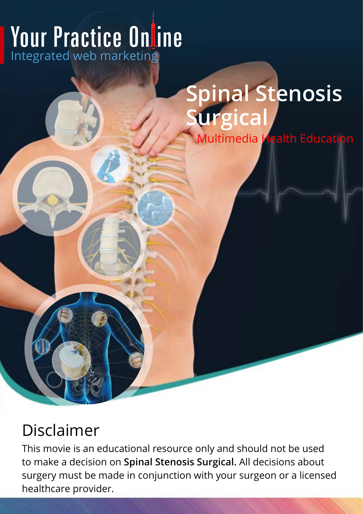# **Your Practice Online**

# **Spinal Stenosis Surgical**

Multimedia Health Education

# Disclaimer

This movie is an educational resource only and should not be used to make a decision on **Spinal Stenosis Surgical.** All decisions about surgery must be made in conjunction with your surgeon or a licensed healthcare provider.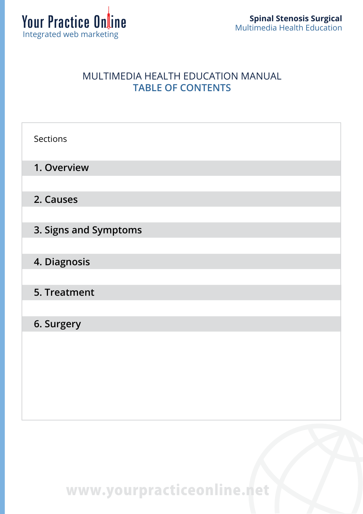

#### MULTIMEDIA HEALTH EDUCATION MANUAL **TABLE OF CONTENTS**

| Sections              |
|-----------------------|
| 1. Overview           |
| 2. Causes             |
| 3. Signs and Symptoms |
| 4. Diagnosis          |
| 5. Treatment          |
| 6. Surgery            |
|                       |
|                       |
|                       |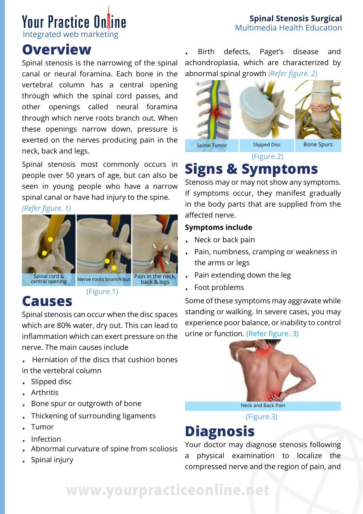#### **Spinal Stenosis Surgical**  Multimedia Health Education

# **Your Practice Online**

Integrated web marketing

### **Overview**

Spinal stenosis is the narrowing of the spinal canal or neural foramina. Each bone in the vertebral column has a central opening through which the spinal cord passes, and other openings called neural foramina through which nerve roots branch out. When these openings narrow down, pressure is exerted on the nerves producing pain in the neck, back and legs.

Spinal stenosis most commonly occurs in people over 50 years of age, but can also be seen in young people who have a narrow spinal canal or have had injury to the spine.

*(Refer figure. 1)*





(Figure.1)

### **Causes**

Spinal stenosis can occur when the disc spaces which are 80% water, dry out. This can lead to inflammation which can exert pressure on the nerve. The main causes include

- . Herniation of the discs that cushion bones in the vertebral column
- . Slipped disc
- . Arthritis
- . Bone spur or outgrowth of bone
- . Thickening of surrounding ligaments
- . Tumor
- . Infection
- . Abnormal curvature of spine from scoliosis
- . Spinal injury

. Birth defects, Paget's disease and achondroplasia, which are characterized by abnormal spinal growth *(Refer figure. 2)*



(Figure.2)

### **Signs & Symptoms**

Stenosis may or may not show any symptoms. If symptoms occur, they manifest gradually in the body parts that are supplied from the affected nerve.

#### **Symptoms include**

- . Neck or back pain
- . Pain, numbness, cramping or weakness in the arms or legs
- . Pain extending down the leg
- . Foot problems

Some of these symptoms may aggravate while standing or walking. In severe cases, you may experience poor balance, or inability to control urine or function. (Refer figure. 3)



(Figure.3)

### **Diagnosis**

Your doctor may diagnose stenosis following a physical examination to localize the compressed nerve and the region of pain, and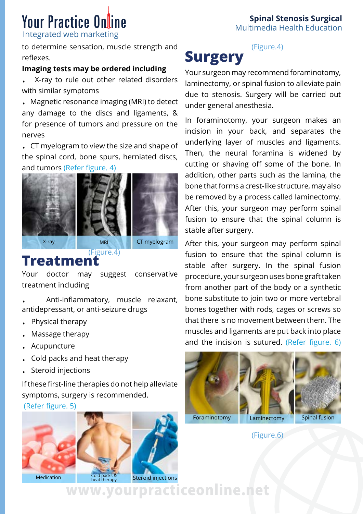# **Your Practice Online**

Integrated web marketing

to determine sensation, muscle strength and reflexes.

#### **Imaging tests may be ordered including**

. X-ray to rule out other related disorders with similar symptoms

. Magnetic resonance imaging (MRI) to detect any damage to the discs and ligaments, & for presence of tumors and pressure on the nerves

. CT myelogram to view the size and shape of the spinal cord, bone spurs, herniated discs, and tumors (Refer figure. 4)







(Figure.4)

#### **Treatment**

Your doctor may suggest conservative treatment including

. Anti-inflammatory, muscle relaxant, antidepressant, or anti-seizure drugs

- . Physical therapy
- . Massage therapy
- . Acupuncture
- . Cold packs and heat therapy
- . Steroid injections

If these first-line therapies do not help alleviate symptoms, surgery is recommended.

(Refer figure. 5)





Medication

**Spinal Stenosis Surgical**  Multimedia Health Education

#### (Figure.4) **Surgery**

Your surgeon may recommend foraminotomy, laminectomy, or spinal fusion to alleviate pain due to stenosis. Surgery will be carried out under general anesthesia.

In foraminotomy, your surgeon makes an incision in your back, and separates the underlying layer of muscles and ligaments. Then, the neural foramina is widened by cutting or shaving off some of the bone. In addition, other parts such as the lamina, the bone that forms a crest-like structure, may also be removed by a process called laminectomy. After this, your surgeon may perform spinal fusion to ensure that the spinal column is stable after surgery.

After this, your surgeon may perform spinal fusion to ensure that the spinal column is stable after surgery. In the spinal fusion procedure, your surgeon uses bone graft taken from another part of the body or a synthetic bone substitute to join two or more vertebral bones together with rods, cages or screws so that there is no movement between them. The muscles and ligaments are put back into place and the incision is sutured. (Refer figure. 6)



(Figure.6)

**heat therapy Steroid injections**<br>
WWW<sub>W</sub>WWWOWIPIACLICEONIINE.net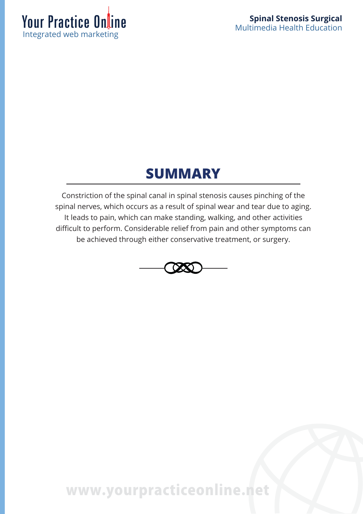

### **SUMMARY**

Constriction of the spinal canal in spinal stenosis causes pinching of the spinal nerves, which occurs as a result of spinal wear and tear due to aging. It leads to pain, which can make standing, walking, and other activities difficult to perform. Considerable relief from pain and other symptoms can be achieved through either conservative treatment, or surgery.